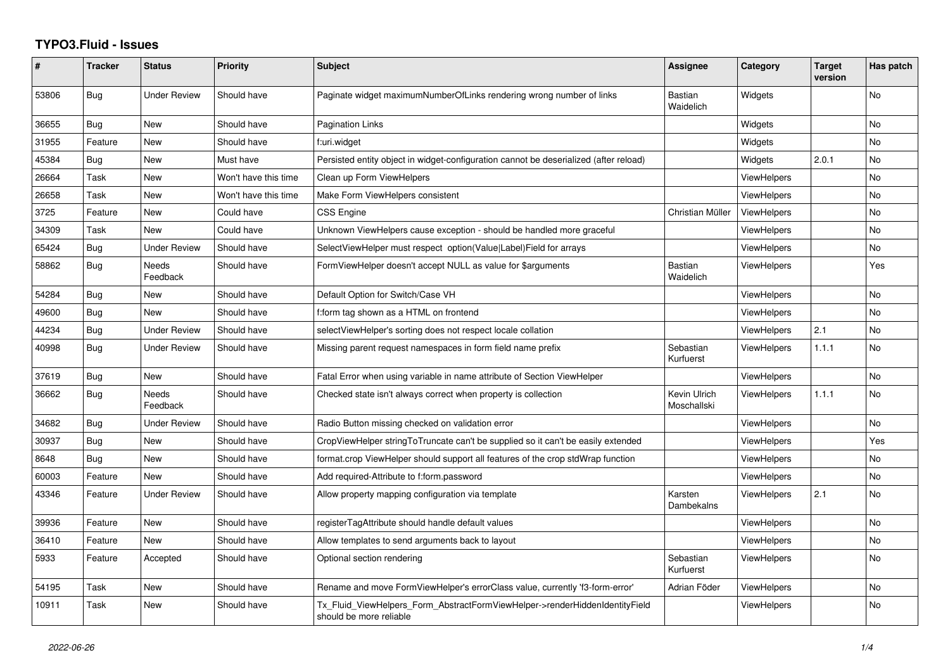## **TYPO3.Fluid - Issues**

| #     | <b>Tracker</b> | <b>Status</b>       | <b>Priority</b>      | <b>Subject</b>                                                                                         | <b>Assignee</b>             | Category           | <b>Target</b><br>version | Has patch |
|-------|----------------|---------------------|----------------------|--------------------------------------------------------------------------------------------------------|-----------------------------|--------------------|--------------------------|-----------|
| 53806 | <b>Bug</b>     | <b>Under Review</b> | Should have          | Paginate widget maximumNumberOfLinks rendering wrong number of links                                   | <b>Bastian</b><br>Waidelich | Widgets            |                          | No        |
| 36655 | <b>Bug</b>     | <b>New</b>          | Should have          | Pagination Links                                                                                       |                             | Widgets            |                          | <b>No</b> |
| 31955 | Feature        | New                 | Should have          | f:uri.widget                                                                                           |                             | Widgets            |                          | <b>No</b> |
| 45384 | Bug            | <b>New</b>          | Must have            | Persisted entity object in widget-configuration cannot be deserialized (after reload)                  |                             | Widgets            | 2.0.1                    | No        |
| 26664 | Task           | New                 | Won't have this time | Clean up Form ViewHelpers                                                                              |                             | ViewHelpers        |                          | <b>No</b> |
| 26658 | Task           | New                 | Won't have this time | Make Form ViewHelpers consistent                                                                       |                             | <b>ViewHelpers</b> |                          | No        |
| 3725  | Feature        | <b>New</b>          | Could have           | CSS Engine                                                                                             | Christian Müller            | ViewHelpers        |                          | No        |
| 34309 | Task           | <b>New</b>          | Could have           | Unknown ViewHelpers cause exception - should be handled more graceful                                  |                             | <b>ViewHelpers</b> |                          | <b>No</b> |
| 65424 | Bug            | Under Review        | Should have          | SelectViewHelper must respect option(Value Label)Field for arrays                                      |                             | <b>ViewHelpers</b> |                          | No        |
| 58862 | Bug            | Needs<br>Feedback   | Should have          | FormViewHelper doesn't accept NULL as value for \$arguments                                            | Bastian<br>Waidelich        | <b>ViewHelpers</b> |                          | Yes       |
| 54284 | Bug            | New                 | Should have          | Default Option for Switch/Case VH                                                                      |                             | <b>ViewHelpers</b> |                          | <b>No</b> |
| 49600 | <b>Bug</b>     | <b>New</b>          | Should have          | f:form tag shown as a HTML on frontend                                                                 |                             | <b>ViewHelpers</b> |                          | <b>No</b> |
| 44234 | Bug            | <b>Under Review</b> | Should have          | selectViewHelper's sorting does not respect locale collation                                           |                             | ViewHelpers        | 2.1                      | <b>No</b> |
| 40998 | Bug            | Under Review        | Should have          | Missing parent request namespaces in form field name prefix                                            | Sebastian<br>Kurfuerst      | <b>ViewHelpers</b> | 1.1.1                    | No        |
| 37619 | Bug            | New                 | Should have          | Fatal Error when using variable in name attribute of Section ViewHelper                                |                             | <b>ViewHelpers</b> |                          | <b>No</b> |
| 36662 | <b>Bug</b>     | Needs<br>Feedback   | Should have          | Checked state isn't always correct when property is collection                                         | Kevin Ulrich<br>Moschallski | ViewHelpers        | 1.1.1                    | <b>No</b> |
| 34682 | <b>Bug</b>     | Under Review        | Should have          | Radio Button missing checked on validation error                                                       |                             | ViewHelpers        |                          | No.       |
| 30937 | Bug            | New                 | Should have          | CropViewHelper stringToTruncate can't be supplied so it can't be easily extended                       |                             | <b>ViewHelpers</b> |                          | Yes       |
| 8648  | Bug            | New                 | Should have          | format.crop ViewHelper should support all features of the crop stdWrap function                        |                             | <b>ViewHelpers</b> |                          | <b>No</b> |
| 60003 | Feature        | New                 | Should have          | Add required-Attribute to f:form.password                                                              |                             | ViewHelpers        |                          | No        |
| 43346 | Feature        | <b>Under Review</b> | Should have          | Allow property mapping configuration via template                                                      | Karsten<br>Dambekalns       | <b>ViewHelpers</b> | 2.1                      | <b>No</b> |
| 39936 | Feature        | New                 | Should have          | registerTagAttribute should handle default values                                                      |                             | <b>ViewHelpers</b> |                          | No        |
| 36410 | Feature        | <b>New</b>          | Should have          | Allow templates to send arguments back to layout                                                       |                             | <b>ViewHelpers</b> |                          | <b>No</b> |
| 5933  | Feature        | Accepted            | Should have          | Optional section rendering                                                                             | Sebastian<br>Kurfuerst      | ViewHelpers        |                          | <b>No</b> |
| 54195 | Task           | New                 | Should have          | Rename and move FormViewHelper's errorClass value, currently 'f3-form-error'                           | Adrian Föder                | <b>ViewHelpers</b> |                          | <b>No</b> |
| 10911 | Task           | New                 | Should have          | Tx Fluid ViewHelpers Form AbstractFormViewHelper->renderHiddenIdentityField<br>should be more reliable |                             | <b>ViewHelpers</b> |                          | <b>No</b> |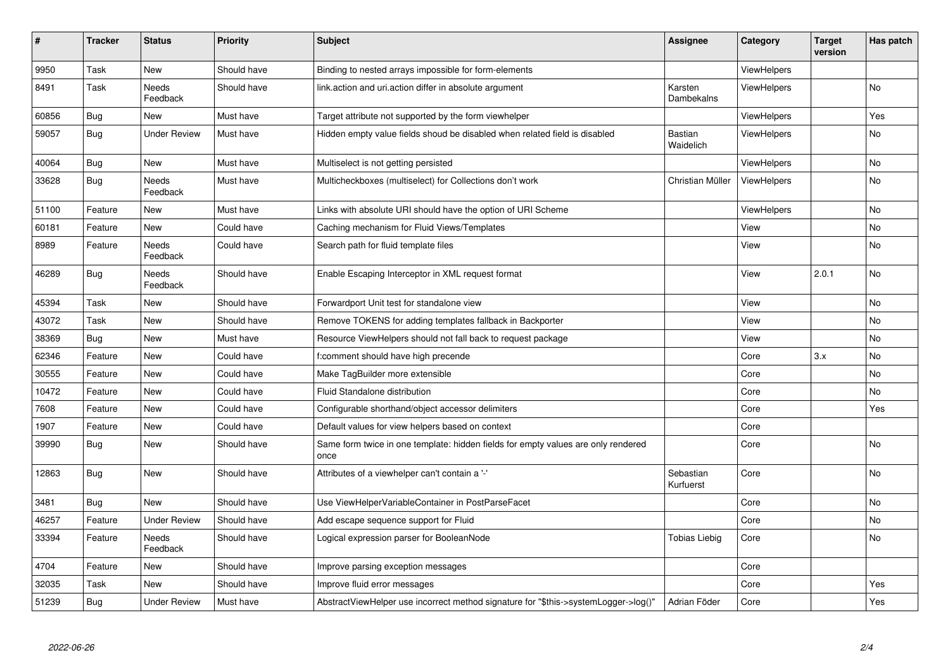| $\sharp$ | <b>Tracker</b> | <b>Status</b>       | <b>Priority</b> | <b>Subject</b>                                                                            | Assignee                    | Category           | <b>Target</b><br>version | Has patch |
|----------|----------------|---------------------|-----------------|-------------------------------------------------------------------------------------------|-----------------------------|--------------------|--------------------------|-----------|
| 9950     | Task           | New                 | Should have     | Binding to nested arrays impossible for form-elements                                     |                             | ViewHelpers        |                          |           |
| 8491     | Task           | Needs<br>Feedback   | Should have     | link.action and uri.action differ in absolute argument                                    | Karsten<br>Dambekalns       | ViewHelpers        |                          | <b>No</b> |
| 60856    | <b>Bug</b>     | New                 | Must have       | Target attribute not supported by the form viewhelper                                     |                             | ViewHelpers        |                          | Yes       |
| 59057    | Bug            | Under Review        | Must have       | Hidden empty value fields shoud be disabled when related field is disabled                | <b>Bastian</b><br>Waidelich | <b>ViewHelpers</b> |                          | No        |
| 40064    | <b>Bug</b>     | New                 | Must have       | Multiselect is not getting persisted                                                      |                             | <b>ViewHelpers</b> |                          | <b>No</b> |
| 33628    | Bug            | Needs<br>Feedback   | Must have       | Multicheckboxes (multiselect) for Collections don't work                                  | Christian Müller            | ViewHelpers        |                          | No        |
| 51100    | Feature        | New                 | Must have       | Links with absolute URI should have the option of URI Scheme                              |                             | <b>ViewHelpers</b> |                          | <b>No</b> |
| 60181    | Feature        | New                 | Could have      | Caching mechanism for Fluid Views/Templates                                               |                             | View               |                          | No        |
| 8989     | Feature        | Needs<br>Feedback   | Could have      | Search path for fluid template files                                                      |                             | View               |                          | No        |
| 46289    | Bug            | Needs<br>Feedback   | Should have     | Enable Escaping Interceptor in XML request format                                         |                             | View               | 2.0.1                    | No        |
| 45394    | Task           | New                 | Should have     | Forwardport Unit test for standalone view                                                 |                             | View               |                          | No        |
| 43072    | Task           | New                 | Should have     | Remove TOKENS for adding templates fallback in Backporter                                 |                             | View               |                          | <b>No</b> |
| 38369    | Bug            | New                 | Must have       | Resource ViewHelpers should not fall back to request package                              |                             | View               |                          | No        |
| 62346    | Feature        | New                 | Could have      | f:comment should have high precende                                                       |                             | Core               | 3.x                      | No        |
| 30555    | Feature        | New                 | Could have      | Make TagBuilder more extensible                                                           |                             | Core               |                          | <b>No</b> |
| 10472    | Feature        | New                 | Could have      | Fluid Standalone distribution                                                             |                             | Core               |                          | No        |
| 7608     | Feature        | New                 | Could have      | Configurable shorthand/object accessor delimiters                                         |                             | Core               |                          | Yes       |
| 1907     | Feature        | New                 | Could have      | Default values for view helpers based on context                                          |                             | Core               |                          |           |
| 39990    | Bug            | New                 | Should have     | Same form twice in one template: hidden fields for empty values are only rendered<br>once |                             | Core               |                          | No        |
| 12863    | <b>Bug</b>     | New                 | Should have     | Attributes of a viewhelper can't contain a '-'                                            | Sebastian<br>Kurfuerst      | Core               |                          | No        |
| 3481     | Bug            | New                 | Should have     | Use ViewHelperVariableContainer in PostParseFacet                                         |                             | Core               |                          | No        |
| 46257    | Feature        | <b>Under Review</b> | Should have     | Add escape sequence support for Fluid                                                     |                             | Core               |                          | No        |
| 33394    | Feature        | Needs<br>Feedback   | Should have     | Logical expression parser for BooleanNode                                                 | <b>Tobias Liebig</b>        | Core               |                          | No        |
| 4704     | Feature        | New                 | Should have     | Improve parsing exception messages                                                        |                             | Core               |                          |           |
| 32035    | Task           | <b>New</b>          | Should have     | Improve fluid error messages                                                              |                             | Core               |                          | Yes       |
| 51239    | <b>Bug</b>     | <b>Under Review</b> | Must have       | AbstractViewHelper use incorrect method signature for "\$this->systemLogger->log()"       | Adrian Föder                | Core               |                          | Yes       |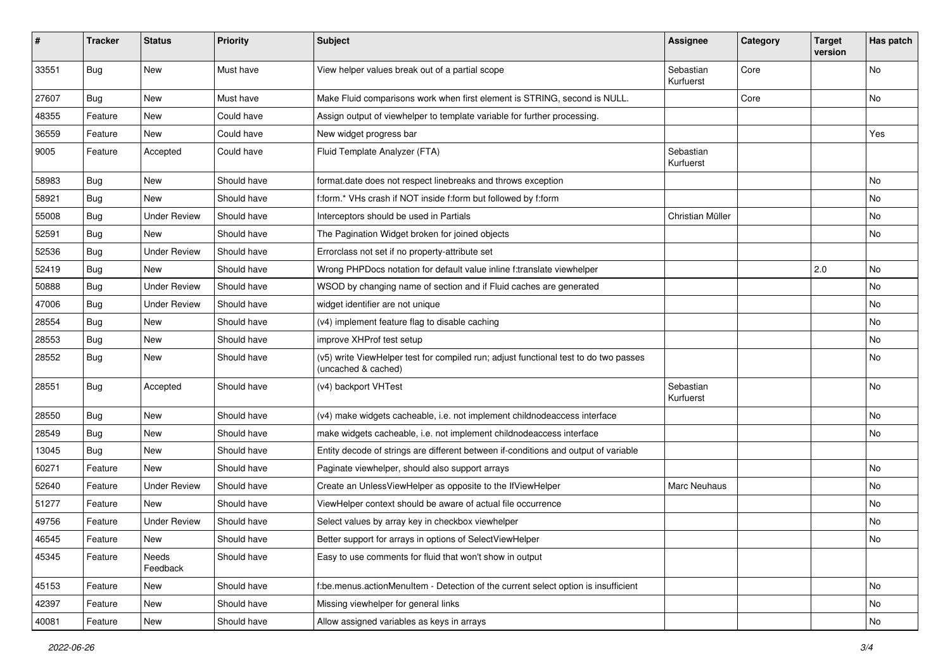| #     | <b>Tracker</b> | <b>Status</b>       | <b>Priority</b> | <b>Subject</b>                                                                                              | <b>Assignee</b>        | Category | <b>Target</b><br>version | Has patch |
|-------|----------------|---------------------|-----------------|-------------------------------------------------------------------------------------------------------------|------------------------|----------|--------------------------|-----------|
| 33551 | Bug            | New                 | Must have       | View helper values break out of a partial scope                                                             | Sebastian<br>Kurfuerst | Core     |                          | <b>No</b> |
| 27607 | Bug            | New                 | Must have       | Make Fluid comparisons work when first element is STRING, second is NULL.                                   |                        | Core     |                          | No        |
| 48355 | Feature        | <b>New</b>          | Could have      | Assign output of viewhelper to template variable for further processing.                                    |                        |          |                          |           |
| 36559 | Feature        | New                 | Could have      | New widget progress bar                                                                                     |                        |          |                          | Yes       |
| 9005  | Feature        | Accepted            | Could have      | Fluid Template Analyzer (FTA)                                                                               | Sebastian<br>Kurfuerst |          |                          |           |
| 58983 | Bug            | New                 | Should have     | format.date does not respect linebreaks and throws exception                                                |                        |          |                          | <b>No</b> |
| 58921 | Bug            | <b>New</b>          | Should have     | f:form.* VHs crash if NOT inside f:form but followed by f:form                                              |                        |          |                          | No        |
| 55008 | Bug            | <b>Under Review</b> | Should have     | Interceptors should be used in Partials                                                                     | Christian Müller       |          |                          | No        |
| 52591 | Bug            | New                 | Should have     | The Pagination Widget broken for joined objects                                                             |                        |          |                          | No        |
| 52536 | Bug            | <b>Under Review</b> | Should have     | Errorclass not set if no property-attribute set                                                             |                        |          |                          |           |
| 52419 | Bug            | New                 | Should have     | Wrong PHPDocs notation for default value inline f:translate viewhelper                                      |                        |          | 2.0                      | <b>No</b> |
| 50888 | Bug            | <b>Under Review</b> | Should have     | WSOD by changing name of section and if Fluid caches are generated                                          |                        |          |                          | <b>No</b> |
| 47006 | Bug            | <b>Under Review</b> | Should have     | widget identifier are not unique                                                                            |                        |          |                          | No        |
| 28554 | Bug            | New                 | Should have     | (v4) implement feature flag to disable caching                                                              |                        |          |                          | No        |
| 28553 | Bug            | New                 | Should have     | improve XHProf test setup                                                                                   |                        |          |                          | <b>No</b> |
| 28552 | Bug            | New                 | Should have     | (v5) write ViewHelper test for compiled run; adjust functional test to do two passes<br>(uncached & cached) |                        |          |                          | No        |
| 28551 | Bug            | Accepted            | Should have     | (v4) backport VHTest                                                                                        | Sebastian<br>Kurfuerst |          |                          | No        |
| 28550 | Bug            | <b>New</b>          | Should have     | (v4) make widgets cacheable, i.e. not implement childnodeaccess interface                                   |                        |          |                          | <b>No</b> |
| 28549 | Bug            | New                 | Should have     | make widgets cacheable, i.e. not implement childnodeaccess interface                                        |                        |          |                          | No        |
| 13045 | Bug            | New                 | Should have     | Entity decode of strings are different between if-conditions and output of variable                         |                        |          |                          |           |
| 60271 | Feature        | <b>New</b>          | Should have     | Paginate viewhelper, should also support arrays                                                             |                        |          |                          | <b>No</b> |
| 52640 | Feature        | <b>Under Review</b> | Should have     | Create an UnlessViewHelper as opposite to the IfViewHelper                                                  | Marc Neuhaus           |          |                          | No        |
| 51277 | Feature        | New                 | Should have     | ViewHelper context should be aware of actual file occurrence                                                |                        |          |                          | <b>No</b> |
| 49756 | Feature        | <b>Under Review</b> | Should have     | Select values by array key in checkbox viewhelper                                                           |                        |          |                          | No        |
| 46545 | Feature        | New                 | Should have     | Better support for arrays in options of SelectViewHelper                                                    |                        |          |                          | NO.       |
| 45345 | Feature        | Needs<br>Feedback   | Should have     | Easy to use comments for fluid that won't show in output                                                    |                        |          |                          |           |
| 45153 | Feature        | New                 | Should have     | f:be.menus.actionMenuItem - Detection of the current select option is insufficient                          |                        |          |                          | No        |
| 42397 | Feature        | New                 | Should have     | Missing viewhelper for general links                                                                        |                        |          |                          | No        |
| 40081 | Feature        | New                 | Should have     | Allow assigned variables as keys in arrays                                                                  |                        |          |                          | No        |